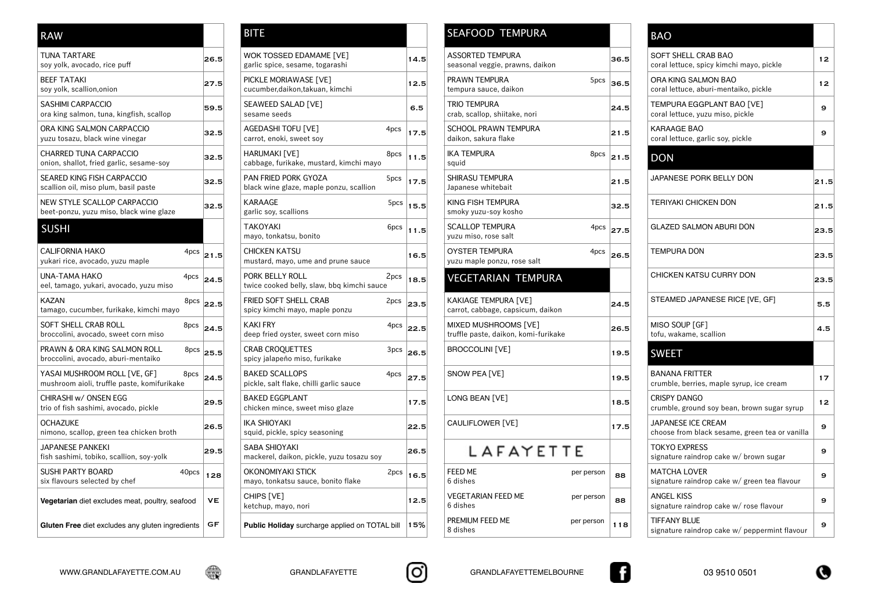| <b>RAW</b>                                                                     |       |           | <b>BITE</b>                                                       |      |
|--------------------------------------------------------------------------------|-------|-----------|-------------------------------------------------------------------|------|
| <b>TUNA TARTARE</b><br>soy yolk, avocado, rice puff                            |       | 26.5      | WOK TOSSED EDAMAME [VE]<br>garlic spice, sesame, togarashi        |      |
| <b>BEEF TATAKI</b><br>soy yolk, scallion, onion                                |       | 27.5      | PICKLE MORIAWASE [VE]<br>cucumber, daikon, takuan, kimchi         |      |
| <b>SASHIMI CARPACCIO</b><br>ora king salmon, tuna, kingfish, scallop           |       | 59.5      | SEAWEED SALAD [VE]<br>sesame seeds                                |      |
| ORA KING SALMON CARPACCIO<br>yuzu tosazu, black wine vinegar                   |       | 32.5      | AGEDASHI TOFU [VE]<br>carrot, enoki, sweet soy                    | 4pcs |
| <b>CHARRED TUNA CARPACCIO</b><br>onion, shallot, fried garlic, sesame-soy      |       | 32.5      | HARUMAKI [VE]<br>cabbage, furikake, mustard, kimchi mayo          | 8pcs |
| <b>SEARED KING FISH CARPACCIO</b><br>scallion oil, miso plum, basil paste      |       | 32.5      | PAN FRIED PORK GYOZA<br>black wine glaze, maple ponzu, scallion   | 5pcs |
| NEW STYLE SCALLOP CARPACCIO<br>beet-ponzu, yuzu miso, black wine glaze         |       | 32.5      | <b>KARAAGE</b><br>garlic soy, scallions                           | 5pcs |
| <b>SUSHI</b>                                                                   |       |           | <b>TAKOYAKI</b><br>mayo, tonkatsu, bonito                         | 6pcs |
| <b>CALIFORNIA HAKO</b><br>yukari rice, avocado, yuzu maple                     | 4pcs  | 21.5      | <b>CHICKEN KATSU</b><br>mustard, mayo, ume and prune sauce        |      |
| <b>UNA-TAMA HAKO</b><br>eel, tamago, yukari, avocado, yuzu miso                | 4pcs  | 24.5      | PORK BELLY ROLL<br>twice cooked belly, slaw, bbq kimchi sauce     | 2pcs |
| <b>KAZAN</b><br>tamago, cucumber, furikake, kimchi mayo                        | 8pcs  | 22.5      | FRIED SOFT SHELL CRAB<br>spicy kimchi mayo, maple ponzu           | 2pcs |
| <b>SOFT SHELL CRAB ROLL</b><br>broccolini, avocado, sweet corn miso            | 8pcs  | 24.5      | <b>KAKI FRY</b><br>deep fried oyster, sweet corn miso             | 4pcs |
| <b>PRAWN &amp; ORA KING SALMON ROLL</b><br>broccolini, avocado, aburi-mentaiko | 8pcs  | 25.5      | <b>CRAB CROOUETTES</b><br>spicy jalapeño miso, furikake           | 3pcs |
| YASAI MUSHROOM ROLL [VE, GF]<br>mushroom aioli, truffle paste, komifurikake    | 8pcs  | 24.5      | <b>BAKED SCALLOPS</b><br>pickle, salt flake, chilli garlic sauce  | 4pcs |
| CHIRASHI w/ ONSEN EGG<br>trio of fish sashimi, avocado, pickle                 |       | 29.5      | <b>BAKED EGGPLANT</b><br>chicken mince, sweet miso glaze          |      |
| <b>OCHAZUKE</b><br>nimono, scallop, green tea chicken broth                    |       | 26.5      | <b>IKA SHIOYAKI</b><br>squid, pickle, spicy seasoning             |      |
| <b>JAPANESE PANKEKI</b><br>fish sashimi, tobiko, scallion, soy-yolk            |       | 29.5      | <b>SABA SHIOYAKI</b><br>mackerel, daikon, pickle, yuzu tosazu soy |      |
| <b>SUSHI PARTY BOARD</b><br>six flavours selected by chef                      | 40pcs | 128       | <b>OKONOMIYAKI STICK</b><br>mayo, tonkatsu sauce, bonito flake    | 2pcs |
| Vegetarian diet excludes meat, poultry, seafood                                |       | <b>VE</b> | CHIPS [VE]<br>ketchup, mayo, nori                                 |      |
| Gluten Free diet excludes any gluten ingredients                               |       | GF        | Public Holiday surcharge applied on TOTAL bill                    |      |

| <b>RAW</b>                                                                          |              | <b>BITE</b>                                                       |             |             | <b>SEAFOOD TEMPURA</b>                                       |              | <b>BAO</b>                  |
|-------------------------------------------------------------------------------------|--------------|-------------------------------------------------------------------|-------------|-------------|--------------------------------------------------------------|--------------|-----------------------------|
| <b>TUNA TARTARE</b><br>soy yolk, avocado, rice puff                                 | 26.5         | <b>WOK TOSSED EDAMAME [VE]</b><br>garlic spice, sesame, togarashi |             | 14.5        | <b>ASSORTED TEMPURA</b><br>seasonal veggie, prawns, daikon   | 36.5         | <b>SOFT</b><br>coral I      |
| <b>BEEF TATAKI</b><br>soy yolk, scallion, onion                                     | 27.5         | PICKLE MORIAWASE [VE]<br>cucumber, daikon, takuan, kimchi         |             | 12.5        | PRAWN TEMPURA<br>5pcs<br>tempura sauce, daikon               | 36.5         | ORA <sub>k</sub><br>coral I |
| <b>SASHIMI CARPACCIO</b><br>ora king salmon, tuna, kingfish, scallop                | 59.5         | SEAWEED SALAD [VE]<br>sesame seeds                                |             | 6.5         | <b>TRIO TEMPURA</b><br>crab, scallop, shiitake, nori         | 24.5         | <b>TEMP</b><br>coral I      |
| ORA KING SALMON CARPACCIO<br>yuzu tosazu, black wine vinegar                        | 32.5         | <b>AGEDASHI TOFU [VE]</b><br>carrot, enoki, sweet soy             | 4pcs        | 17.5        | <b>SCHOOL PRAWN TEMPURA</b><br>daikon, sakura flake          | 21.5         | <b>KARA</b><br>coral I      |
| CHARRED TUNA CARPACCIO<br>onion, shallot, fried garlic, sesame-soy                  | 32.5         | HARUMAKI [VE]<br>cabbage, furikake, mustard, kimchi mayo          | 8pcs        | 11.5        | <b>IKA TEMPURA</b><br>squid                                  | $8pcs$ 21.5  | <b>DON</b>                  |
| SEARED KING FISH CARPACCIO<br>scallion oil, miso plum, basil paste                  | 32.5         | PAN FRIED PORK GYOZA<br>black wine glaze, maple ponzu, scallion   | 5pcs        | 17.5        | <b>SHIRASU TEMPURA</b><br>Japanese whitebait                 | 21.5         | <b>JAPAM</b>                |
| NEW STYLE SCALLOP CARPACCIO<br>beet-ponzu, yuzu miso, black wine glaze              | 32.5         | <b>KARAAGE</b><br>garlic soy, scallions                           | 5pcs        | 15.5        | KING FISH TEMPURA<br>smoky yuzu-soy kosho                    | 32.5         | <b>TERIY</b>                |
| <b>SUSHI</b>                                                                        |              | <b>TAKOYAKI</b><br>mayo, tonkatsu, bonito                         | 6pcs        | 11.5        | <b>SCALLOP TEMPURA</b><br>yuzu miso, rose salt               | $4pcs$ 27.5  | GLAZI                       |
| <b>CALIFORNIA HAKO</b><br>4pcs<br>yukari rice, avocado, yuzu maple                  | 21.5         | <b>CHICKEN KATSU</b><br>mustard, mayo, ume and prune sauce        |             | 16.5        | <b>OYSTER TEMPURA</b><br>4pcs<br>yuzu maple ponzu, rose salt | $\vert$ 26.5 | <b>TEMP</b>                 |
| UNA-TAMA HAKO<br>4pcs<br>eel, tamago, yukari, avocado, yuzu miso                    | 24.5         | PORK BELLY ROLL<br>twice cooked belly, slaw, bbq kimchi sauce     | 2pcs        | 18.5        | <b>VEGETARIAN TEMPURA</b>                                    |              | <b>CHICK</b>                |
| <b>KAZAN</b><br>tamago, cucumber, furikake, kimchi mayo                             | $8pcs$ 22.5  | FRIED SOFT SHELL CRAB<br>spicy kimchi mayo, maple ponzu           | $2pcs$ 23.5 |             | KAKIAGE TEMPURA [VE]<br>carrot, cabbage, capsicum, daikon    | 24.5         | <b>STEAI</b>                |
| SOFT SHELL CRAB ROLL<br>8pcs<br>broccolini, avocado, sweet corn miso                | $\vert$ 24.5 | <b>KAKI FRY</b><br>deep fried oyster, sweet corn miso             |             | $4pcs$ 22.5 | MIXED MUSHROOMS [VE]<br>truffle paste, daikon, komi-furikake | 26.5         | <b>MISO</b><br>tofu, v      |
| PRAWN & ORA KING SALMON ROLL<br>8pcs<br>broccolini, avocado, aburi-mentaiko         | 25.5         | <b>CRAB CROQUETTES</b><br>spicy jalapeño miso, furikake           | $3pcs$ 26.5 |             | <b>BROCCOLINI [VE]</b>                                       | 19.5         | <b>SWE</b>                  |
| YASAI MUSHROOM ROLL [VE, GF]<br>8pcs<br>mushroom aioli, truffle paste, komifurikake | 24.5         | <b>BAKED SCALLOPS</b><br>pickle, salt flake, chilli garlic sauce  | $4pcs$ 27.5 |             | SNOW PEA [VE]                                                | 19.5         | <b>BANA</b><br>crumb        |
| CHIRASHI w/ ONSEN EGG<br>trio of fish sashimi, avocado, pickle                      | 29.5         | <b>BAKED EGGPLANT</b><br>chicken mince, sweet miso glaze          |             | 17.5        | LONG BEAN [VE]                                               | 18.5         | <b>CRISP</b><br>crumb       |
| <b>OCHAZUKE</b><br>nimono, scallop, green tea chicken broth                         | 26.5         | <b>IKA SHIOYAKI</b><br>squid, pickle, spicy seasoning             |             | 22.5        | CAULIFLOWER [VE]                                             | 17.5         | <b>JAPAI</b><br>choos       |
| JAPANESE PANKEKI<br>fish sashimi, tobiko, scallion, soy-yolk                        | 29.5         | <b>SABA SHIOYAKI</b><br>mackerel, daikon, pickle, yuzu tosazu soy |             | 26.5        | LAFAYETTE                                                    |              | <b>TOKY</b><br>signat       |
| <b>SUSHI PARTY BOARD</b><br>40pcs<br>six flavours selected by chef                  | 128          | <b>OKONOMIYAKI STICK</b><br>mayo, tonkatsu sauce, bonito flake    | 2pcs        | 16.5        | FEED ME<br>per person<br>6 dishes                            | 88           | <b>MATC</b><br>signat       |
| Vegetarian diet excludes meat, poultry, seafood                                     | <b>VE</b>    | CHIPS [VE]<br>ketchup, mayo, nori                                 |             | 12.5        | <b>VEGETARIAN FEED ME</b><br>per person<br>6 dishes          | 88           | <b>ANGE</b><br>signat       |
| Gluten Free diet excludes any gluten ingredients                                    | GF           | Public Holiday surcharge applied on TOTAL bill                    |             | 15%         | PREMIUM FEED ME<br>per person<br>8 dishes                    | 118          | <b>TIFFA</b><br>signat      |

|  | SEAFOOD TEMPURA |  |
|--|-----------------|--|
|  |                 |  |

| 14.5 | <b>ASSORTED TEMPURA</b><br>seasonal veggie, prawns, daikon   |            | 36.5        | SOFT SHELL CRAB BAO<br>coral lettuce, spicy kimchi mayo, pickle             | 12   |
|------|--------------------------------------------------------------|------------|-------------|-----------------------------------------------------------------------------|------|
| 12.5 | PRAWN TEMPURA<br>tempura sauce, daikon                       | 5pcs       | 36.5        | ORA KING SALMON BAO<br>coral lettuce, aburi-mentaiko, pickle                | 12   |
| 6.5  | <b>TRIO TEMPURA</b><br>crab, scallop, shiitake, nori         |            | 24.5        | TEMPURA EGGPLANT BAO [VE]<br>coral lettuce, yuzu miso, pickle               | 9    |
| 17.5 | <b>SCHOOL PRAWN TEMPURA</b><br>daikon, sakura flake          |            | 21.5        | <b>KARAAGE BAO</b><br>coral lettuce, garlic soy, pickle                     | 9    |
| 11.5 | <b>IKA TEMPURA</b><br>squid                                  | 8pcs       | 21.5        | <b>DON</b>                                                                  |      |
| 17.5 | SHIRASU TEMPURA<br>Japanese whitebait                        |            | 21.5        | JAPANESE PORK BELLY DON                                                     | 21.5 |
| 15.5 | KING FISH TEMPURA<br>smoky yuzu-soy kosho                    |            | 32.5        | <b>TERIYAKI CHICKEN DON</b>                                                 | 21.5 |
| 11.5 | <b>SCALLOP TEMPURA</b><br>yuzu miso, rose salt               |            | $4pcs$ 27.5 | <b>GLAZED SALMON ABURI DON</b>                                              | 23.5 |
| 16.5 | <b>OYSTER TEMPURA</b><br>yuzu maple ponzu, rose salt         | 4pcs       | 26.5        | <b>TEMPURA DON</b>                                                          | 23.5 |
| 18.5 | <b>VEGETARIAN TEMPURA</b>                                    |            |             | CHICKEN KATSU CURRY DON                                                     | 23.5 |
| 23.5 | KAKIAGE TEMPURA [VE]<br>carrot, cabbage, capsicum, daikon    |            | 24.5        | STEAMED JAPANESE RICE [VE, GF]                                              | 5.5  |
| 22.5 | MIXED MUSHROOMS [VE]<br>truffle paste, daikon, komi-furikake |            | 26.5        | MISO SOUP [GF]<br>tofu, wakame, scallion                                    | 4.5  |
| 26.5 | <b>BROCCOLINI</b> [VE]                                       |            | 19.5        | <b>SWEET</b>                                                                |      |
| 27.5 | SNOW PEA [VE]                                                |            | 19.5        | <b>BANANA FRITTER</b><br>crumble, berries, maple syrup, ice cream           | 17   |
| 17.5 | LONG BEAN [VE]                                               |            | 18.5        | <b>CRISPY DANGO</b><br>crumble, ground soy bean, brown sugar syrup          | 12   |
| 22.5 | CAULIFLOWER [VE]                                             |            | 17.5        | <b>JAPANESE ICE CREAM</b><br>choose from black sesame, green tea or vanilla | 9    |
| 26.5 | LAFAYETTE                                                    |            |             | <b>TOKYO EXPRESS</b><br>signature raindrop cake w/ brown sugar              | 9    |
| 16.5 | <b>FEED ME</b><br>6 dishes                                   | per person | 88          | <b>MATCHA LOVER</b><br>signature raindrop cake w/ green tea flavour         | 9    |
| 12.5 | <b>VEGETARIAN FEED ME</b><br>6 dishes                        | per person | 88          | <b>ANGEL KISS</b><br>signature raindrop cake w/ rose flavour                | 9    |
| 15%  | PREMIUM FEED ME<br>8 dishes                                  | per person | 118         | <b>TIFFANY BLUE</b><br>signature raindrop cake w/ peppermint flavour        | 9    |
|      |                                                              |            |             |                                                                             |      |







|      | <b>BAO</b>                                                                  |      |
|------|-----------------------------------------------------------------------------|------|
| 36.5 | <b>SOFT SHELL CRAB BAO</b><br>coral lettuce, spicy kimchi mayo, pickle      | 12   |
| 36.5 | ORA KING SALMON BAO<br>coral lettuce, aburi-mentaiko, pickle                | 12   |
| 24.5 | TEMPURA EGGPLANT BAO [VE]<br>coral lettuce, yuzu miso, pickle               | 9    |
| 21.5 | <b>KARAAGE BAO</b><br>coral lettuce, garlic soy, pickle                     | 9    |
| 21.5 | <b>DON</b>                                                                  |      |
| 21.5 | JAPANESE PORK BELLY DON                                                     | 21.5 |
| 32.5 | <b>TERIYAKI CHICKEN DON</b>                                                 | 21.5 |
| 27.5 | <b>GLAZED SALMON ABURI DON</b>                                              | 23.5 |
| 26.5 | <b>TEMPURA DON</b>                                                          | 23.5 |
|      | <b>CHICKEN KATSU CURRY DON</b>                                              | 23.5 |
| 24.5 | STEAMED JAPANESE RICE [VE, GF]                                              | 5.5  |
| 26.5 | MISO SOUP [GF]<br>tofu, wakame, scallion                                    | 4.5  |
| 19.5 | <b>SWEET</b>                                                                |      |
| 19.5 | <b>BANANA FRITTER</b><br>crumble, berries, maple syrup, ice cream           | 17   |
| 18.5 | <b>CRISPY DANGO</b><br>crumble, ground soy bean, brown sugar syrup          | 12   |
| 17.5 | <b>JAPANESE ICE CREAM</b><br>choose from black sesame, green tea or vanilla | 9    |
|      | <b>TOKYO EXPRESS</b><br>signature raindrop cake w/ brown sugar              | 9    |
| 88   | <b>MATCHA LOVER</b><br>signature raindrop cake w/ green tea flavour         | 9    |
| 88   | <b>ANGEL KISS</b><br>signature raindrop cake w/ rose flavour                | 9    |
| 118  | <b>TIFFANY BLUE</b><br>signature raindrop cake w/ peppermint flavour        | 9    |
|      |                                                                             |      |